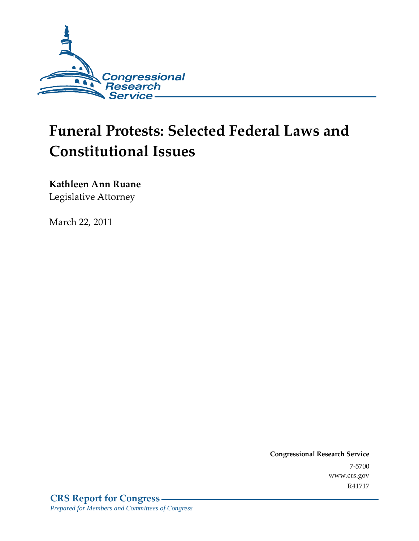

# **Funeral Protests: Selected Federal Laws and Constitutional Issues**

**Kathleen Ann Ruane** 

Legislative Attorney

March 22, 2011

**Congressional Research Service** 7-5700 www.crs.gov R41717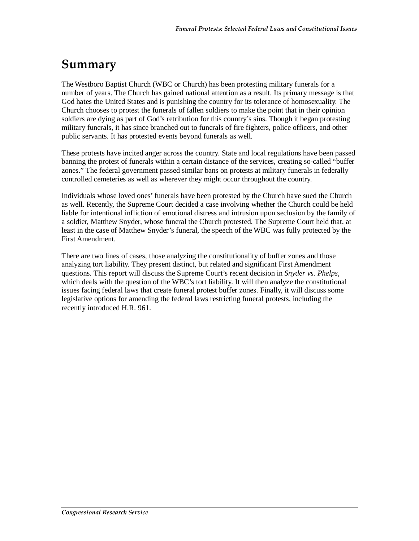## **Summary**

The Westboro Baptist Church (WBC or Church) has been protesting military funerals for a number of years. The Church has gained national attention as a result. Its primary message is that God hates the United States and is punishing the country for its tolerance of homosexuality. The Church chooses to protest the funerals of fallen soldiers to make the point that in their opinion soldiers are dying as part of God's retribution for this country's sins. Though it began protesting military funerals, it has since branched out to funerals of fire fighters, police officers, and other public servants. It has protested events beyond funerals as well.

These protests have incited anger across the country. State and local regulations have been passed banning the protest of funerals within a certain distance of the services, creating so-called "buffer zones." The federal government passed similar bans on protests at military funerals in federally controlled cemeteries as well as wherever they might occur throughout the country.

Individuals whose loved ones' funerals have been protested by the Church have sued the Church as well. Recently, the Supreme Court decided a case involving whether the Church could be held liable for intentional infliction of emotional distress and intrusion upon seclusion by the family of a soldier, Matthew Snyder, whose funeral the Church protested. The Supreme Court held that, at least in the case of Matthew Snyder's funeral, the speech of the WBC was fully protected by the First Amendment.

There are two lines of cases, those analyzing the constitutionality of buffer zones and those analyzing tort liability. They present distinct, but related and significant First Amendment questions. This report will discuss the Supreme Court's recent decision in *Snyder vs. Phelps*, which deals with the question of the WBC's tort liability. It will then analyze the constitutional issues facing federal laws that create funeral protest buffer zones. Finally, it will discuss some legislative options for amending the federal laws restricting funeral protests, including the recently introduced H.R. 961.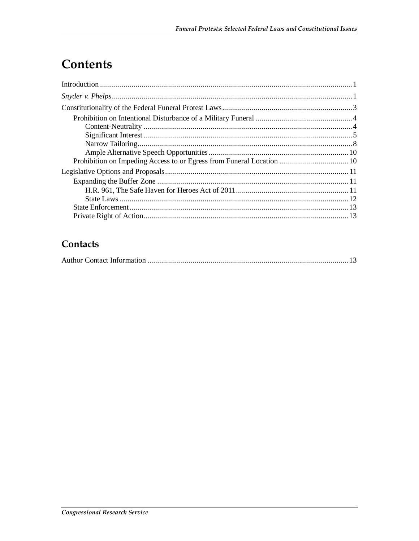## **Contents**

### Contacts

|--|--|--|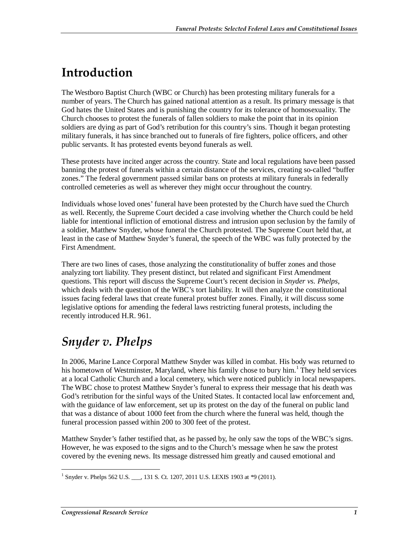## **Introduction**

The Westboro Baptist Church (WBC or Church) has been protesting military funerals for a number of years. The Church has gained national attention as a result. Its primary message is that God hates the United States and is punishing the country for its tolerance of homosexuality. The Church chooses to protest the funerals of fallen soldiers to make the point that in its opinion soldiers are dying as part of God's retribution for this country's sins. Though it began protesting military funerals, it has since branched out to funerals of fire fighters, police officers, and other public servants. It has protested events beyond funerals as well.

These protests have incited anger across the country. State and local regulations have been passed banning the protest of funerals within a certain distance of the services, creating so-called "buffer zones." The federal government passed similar bans on protests at military funerals in federally controlled cemeteries as well as wherever they might occur throughout the country.

Individuals whose loved ones' funeral have been protested by the Church have sued the Church as well. Recently, the Supreme Court decided a case involving whether the Church could be held liable for intentional infliction of emotional distress and intrusion upon seclusion by the family of a soldier, Matthew Snyder, whose funeral the Church protested. The Supreme Court held that, at least in the case of Matthew Snyder's funeral, the speech of the WBC was fully protected by the First Amendment.

There are two lines of cases, those analyzing the constitutionality of buffer zones and those analyzing tort liability. They present distinct, but related and significant First Amendment questions. This report will discuss the Supreme Court's recent decision in *Snyder vs. Phelps*, which deals with the question of the WBC's tort liability. It will then analyze the constitutional issues facing federal laws that create funeral protest buffer zones. Finally, it will discuss some legislative options for amending the federal laws restricting funeral protests, including the recently introduced H.R. 961.

## *Snyder v. Phelps*

In 2006, Marine Lance Corporal Matthew Snyder was killed in combat. His body was returned to his hometown of Westminster, Maryland, where his family chose to bury him.<sup>1</sup> They held services at a local Catholic Church and a local cemetery, which were noticed publicly in local newspapers. The WBC chose to protest Matthew Snyder's funeral to express their message that his death was God's retribution for the sinful ways of the United States. It contacted local law enforcement and, with the guidance of law enforcement, set up its protest on the day of the funeral on public land that was a distance of about 1000 feet from the church where the funeral was held, though the funeral procession passed within 200 to 300 feet of the protest.

Matthew Snyder's father testified that, as he passed by, he only saw the tops of the WBC's signs. However, he was exposed to the signs and to the Church's message when he saw the protest covered by the evening news. Its message distressed him greatly and caused emotional and

 1 Snyder v. Phelps 562 U.S. \_\_\_, 131 S. Ct. 1207, 2011 U.S. LEXIS 1903 at \*9 (2011).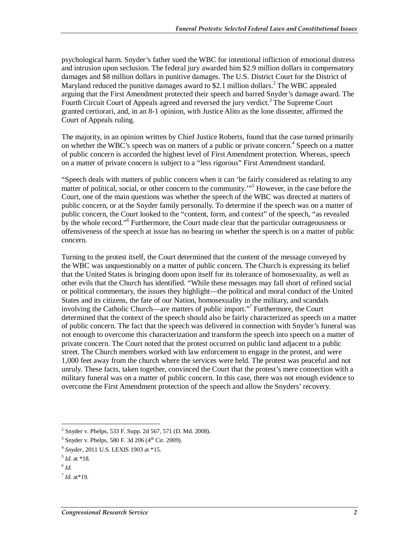psychological harm. Snyder's father sued the WBC for intentional infliction of emotional distress and intrusion upon seclusion. The federal jury awarded him \$2.9 million dollars in compensatory damages and \$8 million dollars in punitive damages. The U.S. District Court for the District of Maryland reduced the punitive damages award to \$2.1 million dollars.<sup>2</sup> The WBC appealed arguing that the First Amendment protected their speech and barred Snyder's damage award. The Fourth Circuit Court of Appeals agreed and reversed the jury verdict.<sup>3</sup> The Supreme Court granted certiorari, and, in an 8-1 opinion, with Justice Alito as the lone dissenter, affirmed the Court of Appeals ruling.

The majority, in an opinion written by Chief Justice Roberts, found that the case turned primarily on whether the WBC's speech was on matters of a public or private concern.<sup>4</sup> Speech on a matter of public concern is accorded the highest level of First Amendment protection. Whereas, speech on a matter of private concern is subject to a "less rigorous" First Amendment standard.

"Speech deals with matters of public concern when it can 'be fairly considered as relating to any matter of political, social, or other concern to the community.'"<sup>5</sup> However, in the case before the Court, one of the main questions was whether the speech of the WBC was directed at matters of public concern, or at the Snyder family personally. To determine if the speech was on a matter of public concern, the Court looked to the "content, form, and context" of the speech, "as revealed by the whole record."<sup>6</sup> Furthermore, the Court made clear that the particular outrageousness or offensiveness of the speech at issue has no bearing on whether the speech is on a matter of public concern.

Turning to the protest itself, the Court determined that the content of the message conveyed by the WBC was unquestionably on a matter of public concern. The Church is expressing its belief that the United States is bringing doom upon itself for its tolerance of homosexuality, as well as other evils that the Church has identified. "While these messages may fall short of refined social or political commentary, the issues they highlight—the political and moral conduct of the United States and its citizens, the fate of our Nation, homosexuality in the military, and scandals involving the Catholic Church—are matters of public import."7 Furthermore, the Court determined that the context of the speech should also be fairly characterized as speech on a matter of public concern. The fact that the speech was delivered in connection with Snyder's funeral was not enough to overcome this characterization and transform the speech into speech on a matter of private concern. The Court noted that the protest occurred on public land adjacent to a public street. The Church members worked with law enforcement to engage in the protest, and were 1,000 feet away from the church where the services were held. The protest was peaceful and not unruly. These facts, taken together, convinced the Court that the protest's mere connection with a military funeral was on a matter of public concern. In this case, there was not enough evidence to overcome the First Amendment protection of the speech and allow the Snyders' recovery.

-

<sup>&</sup>lt;sup>2</sup> Snyder v. Phelps, 533 F. Supp. 2d 567, 571 (D. Md. 2008).

 $3$  Snyder v. Phelps, 580 F. 3d 206 (4<sup>th</sup> Cir. 2009).

<sup>4</sup> *Snyder*, 2011 U.S. LEXIS 1903 at \*15.

<sup>5</sup> *Id*. at \*18.

 $^6$  *Id*.

 $^{7}$  *Id.* at \*19.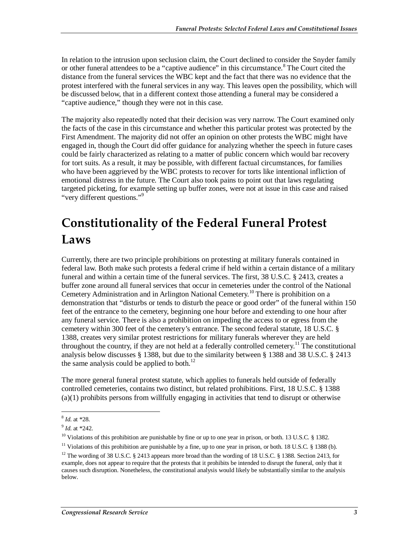In relation to the intrusion upon seclusion claim, the Court declined to consider the Snyder family or other funeral attendees to be a "captive audience" in this circumstance.<sup>8</sup> The Court cited the distance from the funeral services the WBC kept and the fact that there was no evidence that the protest interfered with the funeral services in any way. This leaves open the possibility, which will be discussed below, that in a different context those attending a funeral may be considered a "captive audience," though they were not in this case.

The majority also repeatedly noted that their decision was very narrow. The Court examined only the facts of the case in this circumstance and whether this particular protest was protected by the First Amendment. The majority did not offer an opinion on other protests the WBC might have engaged in, though the Court did offer guidance for analyzing whether the speech in future cases could be fairly characterized as relating to a matter of public concern which would bar recovery for tort suits. As a result, it may be possible, with different factual circumstances, for families who have been aggrieved by the WBC protests to recover for torts like intentional infliction of emotional distress in the future. The Court also took pains to point out that laws regulating targeted picketing, for example setting up buffer zones, were not at issue in this case and raised "very different questions."<sup>9</sup>

## **Constitutionality of the Federal Funeral Protest Laws**

Currently, there are two principle prohibitions on protesting at military funerals contained in federal law. Both make such protests a federal crime if held within a certain distance of a military funeral and within a certain time of the funeral services. The first, 38 U.S.C. § 2413, creates a buffer zone around all funeral services that occur in cemeteries under the control of the National Cemetery Administration and in Arlington National Cemetery.<sup>10</sup> There is prohibition on a demonstration that "disturbs or tends to disturb the peace or good order" of the funeral within 150 feet of the entrance to the cemetery, beginning one hour before and extending to one hour after any funeral service. There is also a prohibition on impeding the access to or egress from the cemetery within 300 feet of the cemetery's entrance. The second federal statute, 18 U.S.C. § 1388, creates very similar protest restrictions for military funerals wherever they are held throughout the country, if they are not held at a federally controlled cemetery.<sup>11</sup> The constitutional analysis below discusses § 1388, but due to the similarity between § 1388 and 38 U.S.C. § 2413 the same analysis could be applied to both.<sup>12</sup>

The more general funeral protest statute, which applies to funerals held outside of federally controlled cemeteries, contains two distinct, but related prohibitions. First, 18 U.S.C. § 1388 (a)(1) prohibits persons from willfully engaging in activities that tend to disrupt or otherwise

<sup>&</sup>lt;u>.</u> <sup>8</sup> *Id*. at \*28.

<sup>&</sup>lt;sup>9</sup> *Id.* at \*242.<br><sup>10</sup> Violations of this prohibition are punishable by fine or up to one year in prison, or both. 13 U.S.C. § 1382.

<sup>&</sup>lt;sup>11</sup> Violations of this prohibition are punishable by a fine, up to one year in prison, or both. 18 U.S.C.  $\S$  1388 (b).

<sup>&</sup>lt;sup>12</sup> The wording of 38 U.S.C. § 2413 appears more broad than the wording of 18 U.S.C. § 1388. Section 2413, for example, does not appear to require that the protests that it prohibits be intended to disrupt the funeral, only that it causes such disruption. Nonetheless, the constitutional analysis would likely be substantially similar to the analysis below.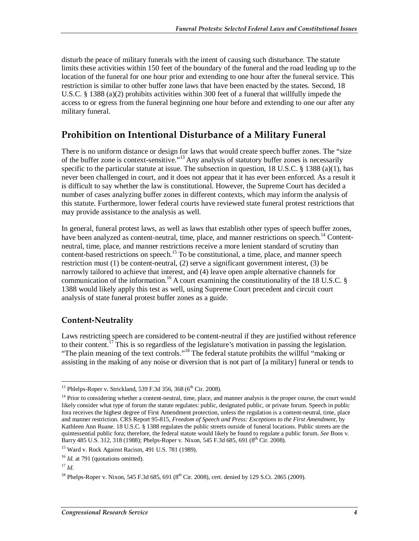disturb the peace of military funerals with the intent of causing such disturbance. The statute limits these activities within 150 feet of the boundary of the funeral and the road leading up to the location of the funeral for one hour prior and extending to one hour after the funeral service. This restriction is similar to other buffer zone laws that have been enacted by the states. Second, 18 U.S.C. § 1388 (a)(2) prohibits activities within 300 feet of a funeral that willfully impede the access to or egress from the funeral beginning one hour before and extending to one our after any military funeral.

### **Prohibition on Intentional Disturbance of a Military Funeral**

There is no uniform distance or design for laws that would create speech buffer zones. The "size of the buffer zone is context-sensitive."13 Any analysis of statutory buffer zones is necessarily specific to the particular statute at issue. The subsection in question, 18 U.S.C. § 1388 (a)(1), has never been challenged in court, and it does not appear that it has ever been enforced. As a result it is difficult to say whether the law is constitutional. However, the Supreme Court has decided a number of cases analyzing buffer zones in different contexts, which may inform the analysis of this statute. Furthermore, lower federal courts have reviewed state funeral protest restrictions that may provide assistance to the analysis as well.

In general, funeral protest laws, as well as laws that establish other types of speech buffer zones, have been analyzed as content-neutral, time, place, and manner restrictions on speech.<sup>14</sup> Contentneutral, time, place, and manner restrictions receive a more lenient standard of scrutiny than content-based restrictions on speech.<sup>15</sup> To be constitutional, a time, place, and manner speech restriction must (1) be content-neutral, (2) serve a significant government interest, (3) be narrowly tailored to achieve that interest, and (4) leave open ample alternative channels for communication of the information.<sup>16</sup> A court examining the constitutionality of the 18 U.S.C. § 1388 would likely apply this test as well, using Supreme Court precedent and circuit court analysis of state funeral protest buffer zones as a guide.

#### **Content-Neutrality**

Laws restricting speech are considered to be content-neutral if they are justified without reference to their content.<sup>17</sup> This is so regardless of the legislature's motivation in passing the legislation. "The plain meaning of the text controls."18 The federal statute prohibits the willful "making or assisting in the making of any noise or diversion that is not part of [a military] funeral or tends to

<sup>-</sup> $^{13}$  Phlelps-Roper v. Strickland, 539 F.3d 356, 368 (6<sup>th</sup> Cir. 2008).

<sup>&</sup>lt;sup>14</sup> Prior to considering whether a content-neutral, time, place, and manner analysis is the proper course, the court would likely consider what type of forum the statute regulates: public, designated public, or private forum. Speech in public fora receives the highest degree of First Amendment protection, unless the regulation is a content-neutral, time, place and manner restriction. CRS Report 95-815, *Freedom of Speech and Press: Exceptions to the First Amendment*, by Kathleen Ann Ruane. 18 U.S.C. § 1388 regulates the public streets outside of funeral locations. Public streets are the quintessential public fora; therefore, the federal statute would likely be found to regulate a public forum. *See* Boos v. Barry 485 U.S. 312, 318 (1988); Phelps-Roper v. Nixon, 545 F.3d 685, 691 (8<sup>th</sup> Cir. 2008).

<sup>15</sup> Ward v. Rock Against Racism, 491 U.S. 781 (1989).

<sup>&</sup>lt;sup>16</sup> *Id.* at 791 (quotations omitted).

 $17$  *Id.* 

<sup>&</sup>lt;sup>18</sup> Phelps-Roper v. Nixon, 545 F.3d 685, 691 (8<sup>th</sup> Cir. 2008), cert. denied by 129 S.Ct. 2865 (2009).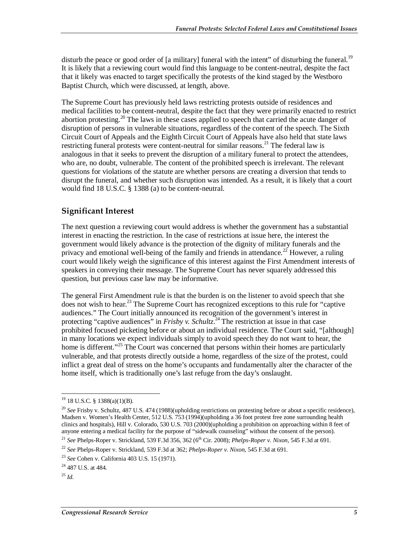disturb the peace or good order of [a military] funeral with the intent" of disturbing the funeral.<sup>19</sup> It is likely that a reviewing court would find this language to be content-neutral, despite the fact that it likely was enacted to target specifically the protests of the kind staged by the Westboro Baptist Church, which were discussed, at length, above.

The Supreme Court has previously held laws restricting protests outside of residences and medical facilities to be content-neutral, despite the fact that they were primarily enacted to restrict abortion protesting.<sup>20</sup> The laws in these cases applied to speech that carried the acute danger of disruption of persons in vulnerable situations, regardless of the content of the speech. The Sixth Circuit Court of Appeals and the Eighth Circuit Court of Appeals have also held that state laws restricting funeral protests were content-neutral for similar reasons.<sup>21</sup> The federal law is analogous in that it seeks to prevent the disruption of a military funeral to protect the attendees, who are, no doubt, vulnerable. The content of the prohibited speech is irrelevant. The relevant questions for violations of the statute are whether persons are creating a diversion that tends to disrupt the funeral, and whether such disruption was intended. As a result, it is likely that a court would find 18 U.S.C. § 1388 (a) to be content-neutral.

#### **Significant Interest**

The next question a reviewing court would address is whether the government has a substantial interest in enacting the restriction. In the case of restrictions at issue here, the interest the government would likely advance is the protection of the dignity of military funerals and the privacy and emotional well-being of the family and friends in attendance.<sup>22</sup> However, a ruling court would likely weigh the significance of this interest against the First Amendment interests of speakers in conveying their message. The Supreme Court has never squarely addressed this question, but previous case law may be informative.

The general First Amendment rule is that the burden is on the listener to avoid speech that she does not wish to hear.<sup>23</sup> The Supreme Court has recognized exceptions to this rule for "captive" audiences." The Court initially announced its recognition of the government's interest in protecting "captive audiences" in *Frisby v. Schultz*. 24 The restriction at issue in that case prohibited focused picketing before or about an individual residence. The Court said, "[although] in many locations we expect individuals simply to avoid speech they do not want to hear, the home is different."<sup>25</sup> The Court was concerned that persons within their homes are particularly vulnerable, and that protests directly outside a home, regardless of the size of the protest, could inflict a great deal of stress on the home's occupants and fundamentally alter the character of the home itself, which is traditionally one's last refuge from the day's onslaught.

<u>.</u>

 $19$  18 U.S.C. § 1388(a)(1)(B).

<sup>20</sup> *See* Frisby v. Schultz, 487 U.S. 474 (1988)(upholding restrictions on protesting before or about a specific residence), Madsen v. Women's Health Center, 512 U.S. 753 (1994)(upholding a 36 foot protest free zone surrounding health clinics and hospitals), Hill v. Colorado, 530 U.S. 703 (2000)(upholding a prohibition on approaching within 8 feet of anyone entering a medical facility for the purpose of "sidewalk counseling" without the consent of the person).

<sup>&</sup>lt;sup>21</sup> *See* Phelps-Roper v. Strickland, 539 F.3d 356, 362 (6<sup>th</sup> Cir. 2008); *Phelps-Roper v. Nixon*, 545 F.3d at 691.

<sup>22</sup> *See* Phelps-Roper v. Strickland, 539 F.3d at 362; *Phelps-Roper v. Nixon*, 545 F.3d at 691.

<sup>23</sup> *See* Cohen v. California 403 U.S. 15 (1971).

<sup>24 487</sup> U.S. at 484.

 $^{25}$  *Id.*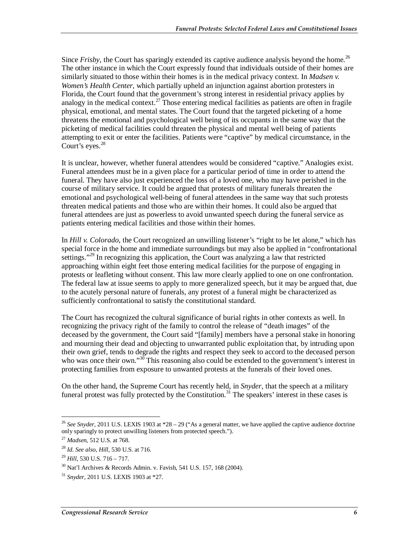Since *Frisby*, the Court has sparingly extended its captive audience analysis beyond the home.<sup>26</sup> The other instance in which the Court expressly found that individuals outside of their homes are similarly situated to those within their homes is in the medical privacy context. In *Madsen v. Women's Health Center*, which partially upheld an injunction against abortion protesters in Florida, the Court found that the government's strong interest in residential privacy applies by analogy in the medical context.<sup>27</sup> Those entering medical facilities as patients are often in fragile physical, emotional, and mental states. The Court found that the targeted picketing of a home threatens the emotional and psychological well being of its occupants in the same way that the picketing of medical facilities could threaten the physical and mental well being of patients attempting to exit or enter the facilities. Patients were "captive" by medical circumstance, in the Court's eyes. $28$ 

It is unclear, however, whether funeral attendees would be considered "captive." Analogies exist. Funeral attendees must be in a given place for a particular period of time in order to attend the funeral. They have also just experienced the loss of a loved one, who may have perished in the course of military service. It could be argued that protests of military funerals threaten the emotional and psychological well-being of funeral attendees in the same way that such protests threaten medical patients and those who are within their homes. It could also be argued that funeral attendees are just as powerless to avoid unwanted speech during the funeral service as patients entering medical facilities and those within their homes.

In *Hill v. Colorado*, the Court recognized an unwilling listener's "right to be let alone," which has special force in the home and immediate surroundings but may also be applied in "confrontational settings."<sup>29</sup> In recognizing this application, the Court was analyzing a law that restricted approaching within eight feet those entering medical facilities for the purpose of engaging in protests or leafleting without consent. This law more clearly applied to one on one confrontation. The federal law at issue seems to apply to more generalized speech, but it may be argued that, due to the acutely personal nature of funerals, any protest of a funeral might be characterized as sufficiently confrontational to satisfy the constitutional standard.

The Court has recognized the cultural significance of burial rights in other contexts as well. In recognizing the privacy right of the family to control the release of "death images" of the deceased by the government, the Court said "[family] members have a personal stake in honoring and mourning their dead and objecting to unwarranted public exploitation that, by intruding upon their own grief, tends to degrade the rights and respect they seek to accord to the deceased person who was once their own."<sup>30</sup> This reasoning also could be extended to the government's interest in protecting families from exposure to unwanted protests at the funerals of their loved ones.

On the other hand, the Supreme Court has recently held, in *Snyder*, that the speech at a military funeral protest was fully protected by the Constitution.<sup>31</sup> The speakers' interest in these cases is

<u>.</u>

<sup>26</sup> *See Snyder*, 2011 U.S. LEXIS 1903 at \*28 – 29 ("As a general matter, we have applied the captive audience doctrine only sparingly to protect unwilling listeners from protected speech.").

<sup>27</sup> *Madsen*, 512 U.S. at 768.

<sup>28</sup> *Id*. *See also*, *Hill*, 530 U.S. at 716.

<sup>29</sup> *Hill*, 530 U.S. 716 – 717.

 $30$  Nat'l Archives & Records Admin. v. Favish, 541 U.S. 157, 168 (2004).

<sup>31</sup> *Snyder*, 2011 U.S. LEXIS 1903 at \*27.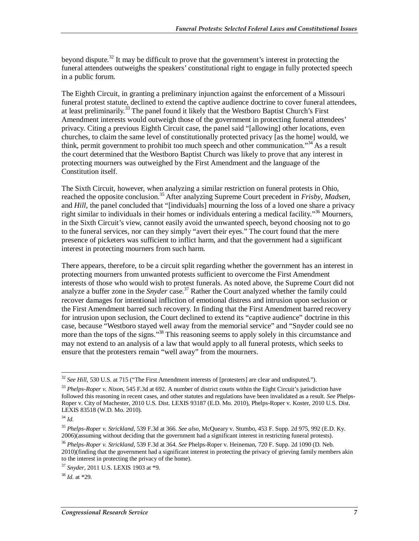beyond dispute.<sup>32</sup> It may be difficult to prove that the government's interest in protecting the funeral attendees outweighs the speakers' constitutional right to engage in fully protected speech in a public forum.

The Eighth Circuit, in granting a preliminary injunction against the enforcement of a Missouri funeral protest statute, declined to extend the captive audience doctrine to cover funeral attendees, at least preliminarily.<sup>33</sup> The panel found it likely that the Westboro Baptist Church's First Amendment interests would outweigh those of the government in protecting funeral attendees' privacy. Citing a previous Eighth Circuit case, the panel said "[allowing] other locations, even churches, to claim the same level of constitutionally protected privacy [as the home] would, we think, permit government to prohibit too much speech and other communication."<sup>34</sup> As a result the court determined that the Westboro Baptist Church was likely to prove that any interest in protecting mourners was outweighed by the First Amendment and the language of the Constitution itself.

The Sixth Circuit, however, when analyzing a similar restriction on funeral protests in Ohio, reached the opposite conclusion.<sup>35</sup> After analyzing Supreme Court precedent in *Frisby*, *Madsen*, and *Hill*, the panel concluded that "[individuals] mourning the loss of a loved one share a privacy right similar to individuals in their homes or individuals entering a medical facility."<sup>36</sup> Mourners, in the Sixth Circuit's view, cannot easily avoid the unwanted speech, beyond choosing not to go to the funeral services, nor can they simply "avert their eyes." The court found that the mere presence of picketers was sufficient to inflict harm, and that the government had a significant interest in protecting mourners from such harm.

There appears, therefore, to be a circuit split regarding whether the government has an interest in protecting mourners from unwanted protests sufficient to overcome the First Amendment interests of those who would wish to protest funerals. As noted above, the Supreme Court did not analyze a buffer zone in the *Snyder* case.<sup>37</sup> Rather the Court analyzed whether the family could recover damages for intentional infliction of emotional distress and intrusion upon seclusion or the First Amendment barred such recovery. In finding that the First Amendment barred recovery for intrusion upon seclusion, the Court declined to extend its "captive audience" doctrine in this case, because "Westboro stayed well away from the memorial service" and "Snyder could see no more than the tops of the signs."<sup>38</sup> This reasoning seems to apply solely in this circumstance and may not extend to an analysis of a law that would apply to all funeral protests, which seeks to ensure that the protesters remain "well away" from the mourners.

<sup>-</sup><sup>32</sup> See Hill, 530 U.S. at 715 ("The First Amendment interests of [protesters] are clear and undisputed.").

<sup>&</sup>lt;sup>33</sup> Phelps-Roper v. Nixon, 545 F.3d at 692. A number of district courts within the Eight Circuit's jurisdiction have followed this reasoning in recent cases, and other statutes and regulations have been invalidated as a result. *See* Phelps-Roper v. City of Machester, 2010 U.S. Dist. LEXIS 93187 (E.D. Mo. 2010), Phelps-Roper v. Koster, 2010 U.S. Dist. LEXIS 83518 (W.D. Mo. 2010).

<sup>34</sup> *Id*.

<sup>35</sup> *Phelps-Roper v. Strickland*, 539 F.3d at 366. *See also*, McQueary v. Stumbo, 453 F. Supp. 2d 975, 992 (E.D. Ky. 2006)(assuming without deciding that the government had a significant interest in restricting funeral protests).

<sup>36</sup> *Phelps-Roper v. Strickland*, 539 F.3d at 364. *See* Phelps-Roper v. Heineman, 720 F. Supp. 2d 1090 (D. Neb. 2010)(finding that the government had a significant interest in protecting the privacy of grieving family members akin to the interest in protecting the privacy of the home).

<sup>37</sup> *Snyder*, 2011 U.S. LEXIS 1903 at \*9.

<sup>38</sup> *Id*. at \*29.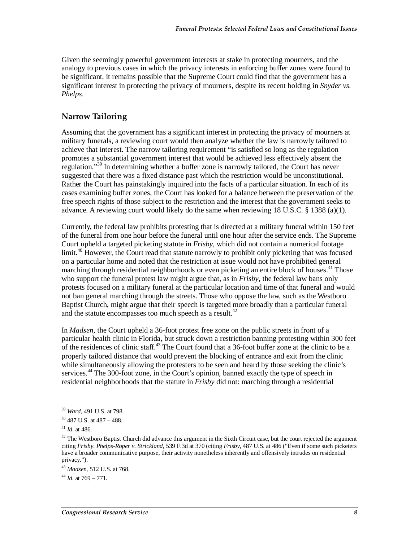Given the seemingly powerful government interests at stake in protecting mourners, and the analogy to previous cases in which the privacy interests in enforcing buffer zones were found to be significant, it remains possible that the Supreme Court could find that the government has a significant interest in protecting the privacy of mourners, despite its recent holding in *Snyder vs. Phelps*.

#### **Narrow Tailoring**

Assuming that the government has a significant interest in protecting the privacy of mourners at military funerals, a reviewing court would then analyze whether the law is narrowly tailored to achieve that interest. The narrow tailoring requirement "is satisfied so long as the regulation promotes a substantial government interest that would be achieved less effectively absent the regulation."<sup>39</sup> In determining whether a buffer zone is narrowly tailored, the Court has never suggested that there was a fixed distance past which the restriction would be unconstitutional. Rather the Court has painstakingly inquired into the facts of a particular situation. In each of its cases examining buffer zones, the Court has looked for a balance between the preservation of the free speech rights of those subject to the restriction and the interest that the government seeks to advance. A reviewing court would likely do the same when reviewing 18 U.S.C. § 1388 (a)(1).

Currently, the federal law prohibits protesting that is directed at a military funeral within 150 feet of the funeral from one hour before the funeral until one hour after the service ends. The Supreme Court upheld a targeted picketing statute in *Frisby*, which did not contain a numerical footage limit.<sup>40</sup> However, the Court read that statute narrowly to prohibit only picketing that was focused on a particular home and noted that the restriction at issue would not have prohibited general marching through residential neighborhoods or even picketing an entire block of houses.<sup>41</sup> Those who support the funeral protest law might argue that, as in *Frisby*, the federal law bans only protests focused on a military funeral at the particular location and time of that funeral and would not ban general marching through the streets. Those who oppose the law, such as the Westboro Baptist Church, might argue that their speech is targeted more broadly than a particular funeral and the statute encompasses too much speech as a result.<sup>42</sup>

In *Madsen*, the Court upheld a 36-foot protest free zone on the public streets in front of a particular health clinic in Florida, but struck down a restriction banning protesting within 300 feet of the residences of clinic staff.<sup>43</sup> The Court found that a 36-foot buffer zone at the clinic to be a properly tailored distance that would prevent the blocking of entrance and exit from the clinic while simultaneously allowing the protesters to be seen and heard by those seeking the clinic's services.<sup>44</sup> The 300-foot zone, in the Court's opinion, banned exactly the type of speech in residential neighborhoods that the statute in *Frisby* did not: marching through a residential

-

<sup>39</sup> *Ward*, 491 U.S. at 798.

 $40$  487 U.S. at 487 – 488.

<sup>41</sup> *Id*. at 486.

 $42$  The Westboro Baptist Church did advance this argument in the Sixth Circuit case, but the court rejected the argument citing *Frisby*. *Phelps-Roper v. Strickland*, 539 F.3d at 370 (citing *Frisby*, 487 U.S. at 486 ("Even if some such picketers have a broader communicative purpose, their activity nonetheless inherently and offensively intrudes on residential privacy.").

<sup>43</sup> *Madsen*, 512 U.S. at 768.

<sup>44</sup> *Id*. at 769 – 771.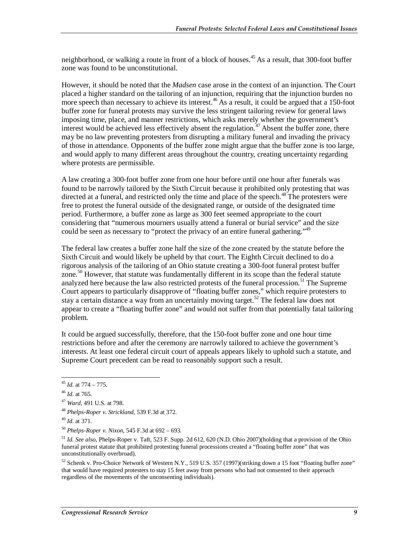neighborhood, or walking a route in front of a block of houses.<sup>45</sup> As a result, that 300-foot buffer zone was found to be unconstitutional.

However, it should be noted that the *Madsen* case arose in the context of an injunction. The Court placed a higher standard on the tailoring of an injunction, requiring that the injunction burden no more speech than necessary to achieve its interest.<sup>46</sup> As a result, it could be argued that a 150-foot buffer zone for funeral protests may survive the less stringent tailoring review for general laws imposing time, place, and manner restrictions, which asks merely whether the government's interest would be achieved less effectively absent the regulation.<sup>47</sup> Absent the buffer zone, there may be no law preventing protesters from disrupting a military funeral and invading the privacy of those in attendance. Opponents of the buffer zone might argue that the buffer zone is too large, and would apply to many different areas throughout the country, creating uncertainty regarding where protests are permissible.

A law creating a 300-foot buffer zone from one hour before until one hour after funerals was found to be narrowly tailored by the Sixth Circuit because it prohibited only protesting that was directed at a funeral, and restricted only the time and place of the speech.<sup>48</sup> The protesters were free to protest the funeral outside of the designated range, or outside of the designated time period. Furthermore, a buffer zone as large as 300 feet seemed appropriate to the court considering that "numerous mourners usually attend a funeral or burial service" and the size could be seen as necessary to "protect the privacy of an entire funeral gathering."<sup>49</sup>

The federal law creates a buffer zone half the size of the zone created by the statute before the Sixth Circuit and would likely be upheld by that court. The Eighth Circuit declined to do a rigorous analysis of the tailoring of an Ohio statute creating a 300-foot funeral protest buffer zone.<sup>50</sup> However, that statute was fundamentally different in its scope than the federal statute analyzed here because the law also restricted protests of the funeral procession.<sup>51</sup> The Supreme Court appears to particularly disapprove of "floating buffer zones," which require protesters to stay a certain distance a way from an uncertainly moving target.<sup>52</sup> The federal law does not appear to create a "floating buffer zone" and would not suffer from that potentially fatal tailoring problem.

It could be argued successfully, therefore, that the 150-foot buffer zone and one hour time restrictions before and after the ceremony are narrowly tailored to achieve the government's interests. At least one federal circuit court of appeals appears likely to uphold such a statute, and Supreme Court precedent can be read to reasonably support such a result.

-

<sup>52</sup> Schenk v. Pro-Choice Network of Western N.Y., 519 U.S. 357 (1997)(striking down a 15 foot "floating buffer zone" that would have required protesters to stay 15 feet away from persons who had not consented to their approach regardless of the movements of the unconsenting individuals).

<sup>45</sup> *Id*. at 774 – 775.

<sup>46</sup> *Id*. at 765.

<sup>47</sup> *Ward*, 491 U.S. at 798.

<sup>48</sup> *Phelps-Roper v. Strickland*, 539 F.3d at 372.

<sup>49</sup> *Id*. at 371.

<sup>50</sup> *Phelps-Roper v. Nixon*, 545 F.3d at 692 – 693.

<sup>51</sup> *Id*. *See also*, Phelps-Roper v. Taft, 523 F. Supp. 2d 612, 620 (N.D. Ohio 2007)(holding that a provision of the Ohio funeral protest statute that prohibited protesting funeral processions created a "floating buffer zone" that was unconstitutionally overbroad).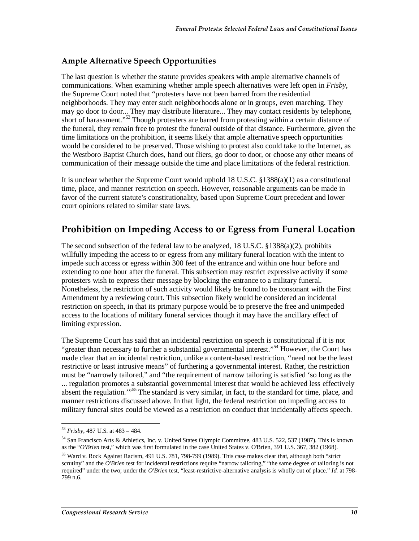#### **Ample Alternative Speech Opportunities**

The last question is whether the statute provides speakers with ample alternative channels of communications. When examining whether ample speech alternatives were left open in *Frisby*, the Supreme Court noted that "protesters have not been barred from the residential neighborhoods. They may enter such neighborhoods alone or in groups, even marching. They may go door to door... They may distribute literature... They may contact residents by telephone, short of harassment."53 Though protesters are barred from protesting within a certain distance of the funeral, they remain free to protest the funeral outside of that distance. Furthermore, given the time limitations on the prohibition, it seems likely that ample alternative speech opportunities would be considered to be preserved. Those wishing to protest also could take to the Internet, as the Westboro Baptist Church does, hand out fliers, go door to door, or choose any other means of communication of their message outside the time and place limitations of the federal restriction.

It is unclear whether the Supreme Court would uphold 18 U.S.C. §1388(a)(1) as a constitutional time, place, and manner restriction on speech. However, reasonable arguments can be made in favor of the current statute's constitutionality, based upon Supreme Court precedent and lower court opinions related to similar state laws.

### **Prohibition on Impeding Access to or Egress from Funeral Location**

The second subsection of the federal law to be analyzed, 18 U.S.C.  $\S$ 1388(a)(2), prohibits willfully impeding the access to or egress from any military funeral location with the intent to impede such access or egress within 300 feet of the entrance and within one hour before and extending to one hour after the funeral. This subsection may restrict expressive activity if some protesters wish to express their message by blocking the entrance to a military funeral. Nonetheless, the restriction of such activity would likely be found to be consonant with the First Amendment by a reviewing court. This subsection likely would be considered an incidental restriction on speech, in that its primary purpose would be to preserve the free and unimpeded access to the locations of military funeral services though it may have the ancillary effect of limiting expression.

The Supreme Court has said that an incidental restriction on speech is constitutional if it is not "greater than necessary to further a substantial governmental interest."<sup>54</sup> However, the Court has made clear that an incidental restriction, unlike a content-based restriction, "need not be the least restrictive or least intrusive means" of furthering a governmental interest. Rather, the restriction must be "narrowly tailored," and "the requirement of narrow tailoring is satisfied 'so long as the ... regulation promotes a substantial governmental interest that would be achieved less effectively absent the regulation."<sup>55</sup> The standard is very similar, in fact, to the standard for time, place, and manner restrictions discussed above. In that light, the federal restriction on impeding access to military funeral sites could be viewed as a restriction on conduct that incidentally affects speech.

 $\overline{a}$ <sup>53</sup> *Frisby*, 487 U.S. at 483 – 484.

<sup>54</sup> San Francisco Arts & Athletics, Inc. v. United States Olympic Committee, 483 U.S. 522, 537 (1987). This is known as the "*O'Brien* test," which was first formulated in the case United States v. O'Brien, 391 U.S. 367, 382 (1968).

<sup>&</sup>lt;sup>55</sup> Ward v. Rock Against Racism, 491 U.S. 781, 798-799 (1989). This case makes clear that, although both "strict scrutiny" and the *O'Brien* test for incidental restrictions require "narrow tailoring," "the same degree of tailoring is not required" under the two; under the *O'Brien* test, "least-restrictive-alternative analysis is wholly out of place." *Id.* at 798- 799 n.6.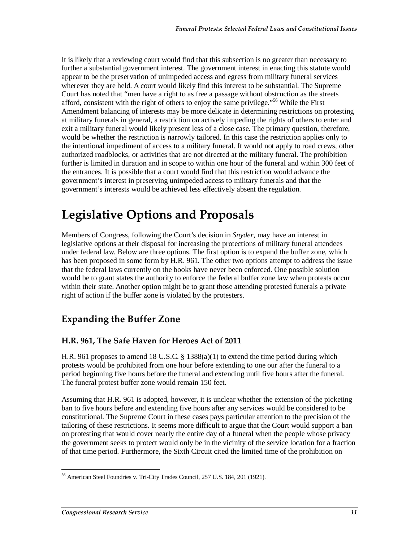It is likely that a reviewing court would find that this subsection is no greater than necessary to further a substantial government interest. The government interest in enacting this statute would appear to be the preservation of unimpeded access and egress from military funeral services wherever they are held. A court would likely find this interest to be substantial. The Supreme Court has noted that "men have a right to as free a passage without obstruction as the streets afford, consistent with the right of others to enjoy the same privilege."<sup>56</sup> While the First Amendment balancing of interests may be more delicate in determining restrictions on protesting at military funerals in general, a restriction on actively impeding the rights of others to enter and exit a military funeral would likely present less of a close case. The primary question, therefore, would be whether the restriction is narrowly tailored. In this case the restriction applies only to the intentional impediment of access to a military funeral. It would not apply to road crews, other authorized roadblocks, or activities that are not directed at the military funeral. The prohibition further is limited in duration and in scope to within one hour of the funeral and within 300 feet of the entrances. It is possible that a court would find that this restriction would advance the government's interest in preserving unimpeded access to military funerals and that the government's interests would be achieved less effectively absent the regulation.

## **Legislative Options and Proposals**

Members of Congress, following the Court's decision in *Snyder*, may have an interest in legislative options at their disposal for increasing the protections of military funeral attendees under federal law. Below are three options. The first option is to expand the buffer zone, which has been proposed in some form by H.R. 961. The other two options attempt to address the issue that the federal laws currently on the books have never been enforced. One possible solution would be to grant states the authority to enforce the federal buffer zone law when protests occur within their state. Another option might be to grant those attending protested funerals a private right of action if the buffer zone is violated by the protesters.

## **Expanding the Buffer Zone**

#### **H.R. 961, The Safe Haven for Heroes Act of 2011**

H.R. 961 proposes to amend 18 U.S.C. § 1388(a)(1) to extend the time period during which protests would be prohibited from one hour before extending to one our after the funeral to a period beginning five hours before the funeral and extending until five hours after the funeral. The funeral protest buffer zone would remain 150 feet.

Assuming that H.R. 961 is adopted, however, it is unclear whether the extension of the picketing ban to five hours before and extending five hours after any services would be considered to be constitutional. The Supreme Court in these cases pays particular attention to the precision of the tailoring of these restrictions. It seems more difficult to argue that the Court would support a ban on protesting that would cover nearly the entire day of a funeral when the people whose privacy the government seeks to protect would only be in the vicinity of the service location for a fraction of that time period. Furthermore, the Sixth Circuit cited the limited time of the prohibition on

<sup>-</sup>56 American Steel Foundries v. Tri-City Trades Council, 257 U.S. 184, 201 (1921).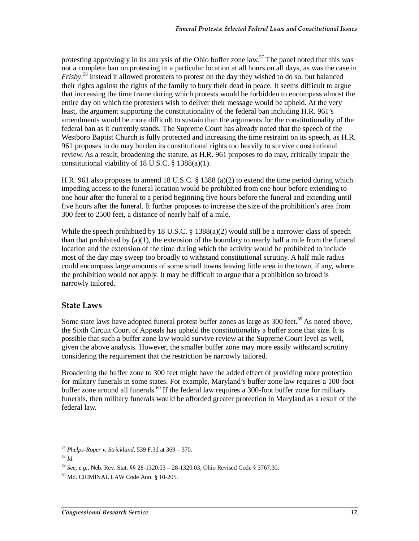protesting approvingly in its analysis of the Ohio buffer zone law.<sup>57</sup> The panel noted that this was not a complete ban on protesting in a particular location at all hours on all days, as was the case in *Frisby*. 58 Instead it allowed protesters to protest on the day they wished to do so, but balanced their rights against the rights of the family to bury their dead in peace. It seems difficult to argue that increasing the time frame during which protests would be forbidden to encompass almost the entire day on which the protesters wish to deliver their message would be upheld. At the very least, the argument supporting the constitutionality of the federal ban including H.R. 961's amendments would be more difficult to sustain than the arguments for the constitutionality of the federal ban as it currently stands. The Supreme Court has already noted that the speech of the Westboro Baptist Church is fully protected and increasing the time restraint on its speech, as H.R. 961 proposes to do may burden its constitutional rights too heavily to survive constitutional review. As a result, broadening the statute, as H.R. 961 proposes to do may, critically impair the constitutional viability of 18 U.S.C.  $\S$  1388(a)(1).

H.R. 961 also proposes to amend 18 U.S.C. § 1388 (a)(2) to extend the time period during which impeding access to the funeral location would be prohibited from one hour before extending to one hour after the funeral to a period beginning five hours before the funeral and extending until five hours after the funeral. It further proposes to increase the size of the prohibition's area from 300 feet to 2500 feet, a distance of nearly half of a mile.

While the speech prohibited by 18 U.S.C.  $\S$  1388(a)(2) would still be a narrower class of speech than that prohibited by  $(a)(1)$ , the extension of the boundary to nearly half a mile from the funeral location and the extension of the time during which the activity would be prohibited to include most of the day may sweep too broadly to withstand constitutional scrutiny. A half mile radius could encompass large amounts of some small towns leaving little area in the town, if any, where the prohibition would not apply. It may be difficult to argue that a prohibition so broad is narrowly tailored.

#### **State Laws**

Some state laws have adopted funeral protest buffer zones as large as  $300$  feet.<sup>59</sup> As noted above, the Sixth Circuit Court of Appeals has upheld the constitutionality a buffer zone that size. It is possible that such a buffer zone law would survive review at the Supreme Court level as well, given the above analysis. However, the smaller buffer zone may more easily withstand scrutiny considering the requirement that the restriction be narrowly tailored.

Broadening the buffer zone to 300 feet might have the added effect of providing more protection for military funerals in some states. For example, Maryland's buffer zone law requires a 100-foot buffer zone around all funerals.<sup>60</sup> If the federal law requires a 300-foot buffer zone for military funerals, then military funerals would be afforded greater protection in Maryland as a result of the federal law.

<sup>-</sup><sup>57</sup> *Phelps-Roper v. Strickland*, 539 F.3d at 369 – 370.

<sup>58</sup> *Id*.

<sup>59</sup> *See, e.g.*, Neb. Rev. Stat. §§ 28-1320.03 – 28-1320.03; Ohio Revised Code § 3767.30.

 $60$  Md. CRIMINAL LAW Code Ann. § 10-205.